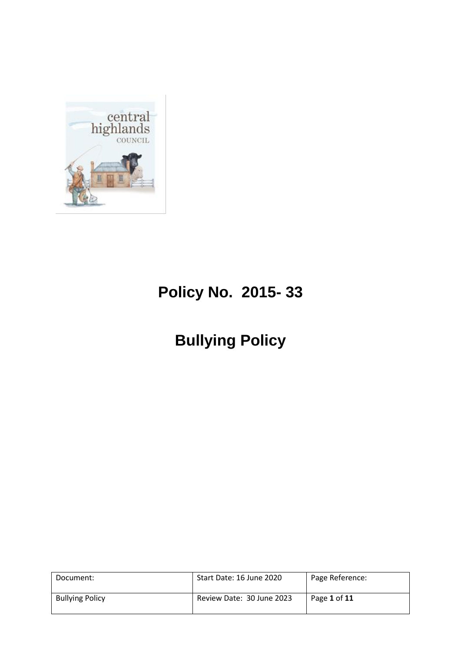

# **Policy No. 2015- 33**

## **Bullying Policy**

| Document:              | Start Date: 16 June 2020  | Page Reference: |
|------------------------|---------------------------|-----------------|
| <b>Bullying Policy</b> | Review Date: 30 June 2023 | Page 1 of 11    |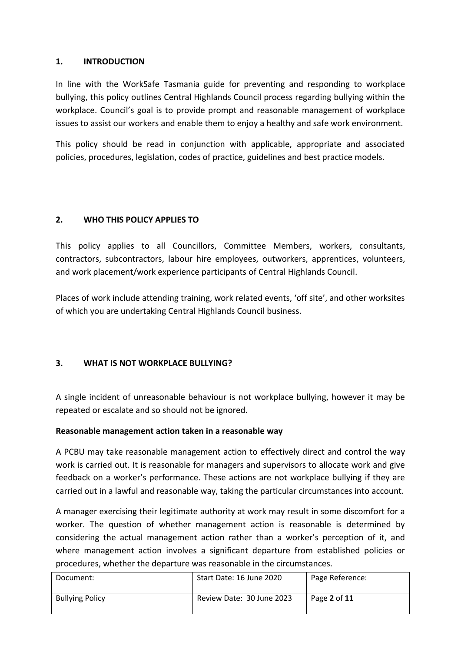## **1. INTRODUCTION**

In line with the WorkSafe Tasmania guide for preventing and responding to workplace bullying, this policy outlines Central Highlands Council process regarding bullying within the workplace. Council's goal is to provide prompt and reasonable management of workplace issues to assist our workers and enable them to enjoy a healthy and safe work environment.

This policy should be read in conjunction with applicable, appropriate and associated policies, procedures, legislation, codes of practice, guidelines and best practice models.

## **2. WHO THIS POLICY APPLIES TO**

This policy applies to all Councillors, Committee Members, workers, consultants, contractors, subcontractors, labour hire employees, outworkers, apprentices, volunteers, and work placement/work experience participants of Central Highlands Council.

Places of work include attending training, work related events, 'off site', and other worksites of which you are undertaking Central Highlands Council business.

## **3. WHAT IS NOT WORKPLACE BULLYING?**

A single incident of unreasonable behaviour is not workplace bullying, however it may be repeated or escalate and so should not be ignored.

## **Reasonable management action taken in a reasonable way**

A PCBU may take reasonable management action to effectively direct and control the way work is carried out. It is reasonable for managers and supervisors to allocate work and give feedback on a worker's performance. These actions are not workplace bullying if they are carried out in a lawful and reasonable way, taking the particular circumstances into account.

A manager exercising their legitimate authority at work may result in some discomfort for a worker. The question of whether management action is reasonable is determined by considering the actual management action rather than a worker's perception of it, and where management action involves a significant departure from established policies or procedures, whether the departure was reasonable in the circumstances.

| Document:              | Start Date: 16 June 2020  | Page Reference: |
|------------------------|---------------------------|-----------------|
| <b>Bullying Policy</b> | Review Date: 30 June 2023 | Page 2 of 11    |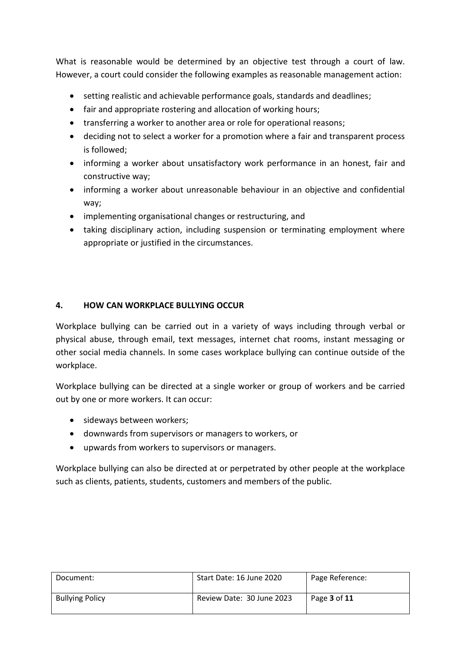What is reasonable would be determined by an objective test through a court of law. However, a court could consider the following examples as reasonable management action:

- setting realistic and achievable performance goals, standards and deadlines;
- fair and appropriate rostering and allocation of working hours;
- transferring a worker to another area or role for operational reasons;
- deciding not to select a worker for a promotion where a fair and transparent process is followed;
- informing a worker about unsatisfactory work performance in an honest, fair and constructive way;
- informing a worker about unreasonable behaviour in an objective and confidential way;
- implementing organisational changes or restructuring, and
- taking disciplinary action, including suspension or terminating employment where appropriate or justified in the circumstances.

#### **4. HOW CAN WORKPLACE BULLYING OCCUR**

Workplace bullying can be carried out in a variety of ways including through verbal or physical abuse, through email, text messages, internet chat rooms, instant messaging or other social media channels. In some cases workplace bullying can continue outside of the workplace.

Workplace bullying can be directed at a single worker or group of workers and be carried out by one or more workers. It can occur:

- sideways between workers;
- downwards from supervisors or managers to workers, or
- upwards from workers to supervisors or managers.

Workplace bullying can also be directed at or perpetrated by other people at the workplace such as clients, patients, students, customers and members of the public.

| Document:              | Start Date: 16 June 2020  | Page Reference:            |
|------------------------|---------------------------|----------------------------|
| <b>Bullying Policy</b> | Review Date: 30 June 2023 | Page <b>3</b> of <b>11</b> |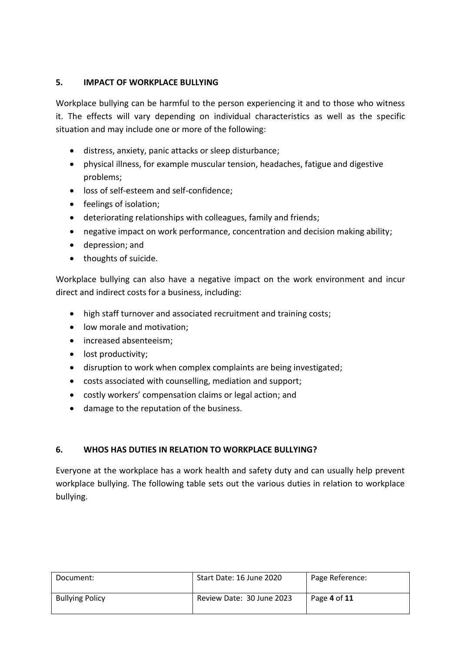## **5. IMPACT OF WORKPLACE BULLYING**

Workplace bullying can be harmful to the person experiencing it and to those who witness it. The effects will vary depending on individual characteristics as well as the specific situation and may include one or more of the following:

- distress, anxiety, panic attacks or sleep disturbance;
- physical illness, for example muscular tension, headaches, fatigue and digestive problems;
- loss of self-esteem and self-confidence;
- feelings of isolation;
- deteriorating relationships with colleagues, family and friends;
- negative impact on work performance, concentration and decision making ability;
- depression; and
- thoughts of suicide.

Workplace bullying can also have a negative impact on the work environment and incur direct and indirect costs for a business, including:

- high staff turnover and associated recruitment and training costs;
- low morale and motivation:
- increased absenteeism;
- lost productivity;
- disruption to work when complex complaints are being investigated;
- costs associated with counselling, mediation and support;
- costly workers' compensation claims or legal action; and
- damage to the reputation of the business.

## **6. WHOS HAS DUTIES IN RELATION TO WORKPLACE BULLYING?**

Everyone at the workplace has a work health and safety duty and can usually help prevent workplace bullying. The following table sets out the various duties in relation to workplace bullying.

| Document:              | Start Date: 16 June 2020  | Page Reference: |
|------------------------|---------------------------|-----------------|
| <b>Bullying Policy</b> | Review Date: 30 June 2023 | Page 4 of 11    |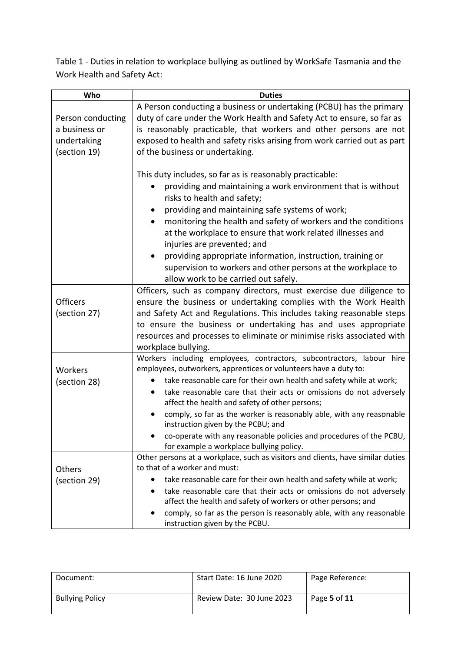Table 1 - Duties in relation to workplace bullying as outlined by WorkSafe Tasmania and the Work Health and Safety Act:

| Who                             | <b>Duties</b>                                                                                                                                                                                                                                                                                                                                                                                                                                                                                                                                                 |
|---------------------------------|---------------------------------------------------------------------------------------------------------------------------------------------------------------------------------------------------------------------------------------------------------------------------------------------------------------------------------------------------------------------------------------------------------------------------------------------------------------------------------------------------------------------------------------------------------------|
|                                 | A Person conducting a business or undertaking (PCBU) has the primary                                                                                                                                                                                                                                                                                                                                                                                                                                                                                          |
| Person conducting               | duty of care under the Work Health and Safety Act to ensure, so far as                                                                                                                                                                                                                                                                                                                                                                                                                                                                                        |
| a business or                   | is reasonably practicable, that workers and other persons are not                                                                                                                                                                                                                                                                                                                                                                                                                                                                                             |
| undertaking                     | exposed to health and safety risks arising from work carried out as part                                                                                                                                                                                                                                                                                                                                                                                                                                                                                      |
| (section 19)                    | of the business or undertaking.                                                                                                                                                                                                                                                                                                                                                                                                                                                                                                                               |
|                                 | This duty includes, so far as is reasonably practicable:<br>providing and maintaining a work environment that is without<br>risks to health and safety;<br>providing and maintaining safe systems of work;<br>monitoring the health and safety of workers and the conditions<br>$\bullet$<br>at the workplace to ensure that work related illnesses and<br>injuries are prevented; and<br>providing appropriate information, instruction, training or<br>supervision to workers and other persons at the workplace to<br>allow work to be carried out safely. |
|                                 | Officers, such as company directors, must exercise due diligence to                                                                                                                                                                                                                                                                                                                                                                                                                                                                                           |
| <b>Officers</b><br>(section 27) | ensure the business or undertaking complies with the Work Health<br>and Safety Act and Regulations. This includes taking reasonable steps<br>to ensure the business or undertaking has and uses appropriate<br>resources and processes to eliminate or minimise risks associated with<br>workplace bullying.                                                                                                                                                                                                                                                  |
|                                 | Workers including employees, contractors, subcontractors, labour hire                                                                                                                                                                                                                                                                                                                                                                                                                                                                                         |
| Workers                         | employees, outworkers, apprentices or volunteers have a duty to:                                                                                                                                                                                                                                                                                                                                                                                                                                                                                              |
| (section 28)                    | take reasonable care for their own health and safety while at work;                                                                                                                                                                                                                                                                                                                                                                                                                                                                                           |
|                                 | take reasonable care that their acts or omissions do not adversely<br>affect the health and safety of other persons;                                                                                                                                                                                                                                                                                                                                                                                                                                          |
|                                 | comply, so far as the worker is reasonably able, with any reasonable<br>instruction given by the PCBU; and                                                                                                                                                                                                                                                                                                                                                                                                                                                    |
|                                 | co-operate with any reasonable policies and procedures of the PCBU,<br>for example a workplace bullying policy.                                                                                                                                                                                                                                                                                                                                                                                                                                               |
|                                 | Other persons at a workplace, such as visitors and clients, have similar duties                                                                                                                                                                                                                                                                                                                                                                                                                                                                               |
| Others                          | to that of a worker and must:                                                                                                                                                                                                                                                                                                                                                                                                                                                                                                                                 |
| (section 29)                    | take reasonable care for their own health and safety while at work;                                                                                                                                                                                                                                                                                                                                                                                                                                                                                           |
|                                 | take reasonable care that their acts or omissions do not adversely                                                                                                                                                                                                                                                                                                                                                                                                                                                                                            |
|                                 | affect the health and safety of workers or other persons; and                                                                                                                                                                                                                                                                                                                                                                                                                                                                                                 |
|                                 | comply, so far as the person is reasonably able, with any reasonable<br>instruction given by the PCBU.                                                                                                                                                                                                                                                                                                                                                                                                                                                        |

| Document:              | Start Date: 16 June 2020  | Page Reference: |
|------------------------|---------------------------|-----------------|
| <b>Bullying Policy</b> | Review Date: 30 June 2023 | Page 5 of 11    |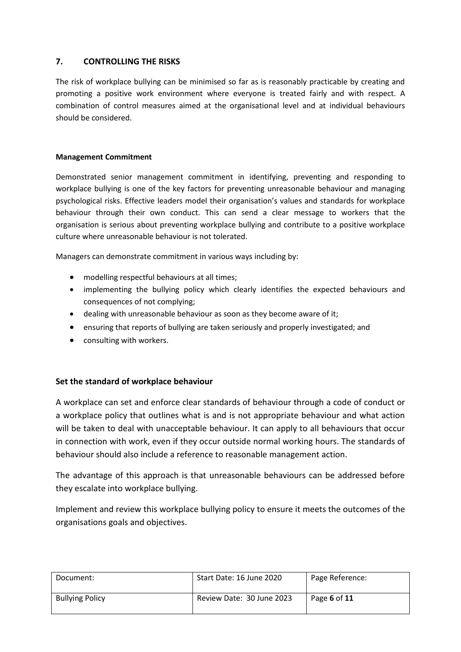#### **7. CONTROLLING THE RISKS**

The risk of workplace bullying can be minimised so far as is reasonably practicable by creating and promoting a positive work environment where everyone is treated fairly and with respect. A combination of control measures aimed at the organisational level and at individual behaviours should be considered.

#### **Management Commitment**

Demonstrated senior management commitment in identifying, preventing and responding to workplace bullying is one of the key factors for preventing unreasonable behaviour and managing psychological risks. Effective leaders model their organisation's values and standards for workplace behaviour through their own conduct. This can send a clear message to workers that the organisation is serious about preventing workplace bullying and contribute to a positive workplace culture where unreasonable behaviour is not tolerated.

Managers can demonstrate commitment in various ways including by:

- modelling respectful behaviours at all times;
- implementing the bullying policy which clearly identifies the expected behaviours and consequences of not complying;
- dealing with unreasonable behaviour as soon as they become aware of it;
- ensuring that reports of bullying are taken seriously and properly investigated; and
- consulting with workers.

#### **Set the standard of workplace behaviour**

A workplace can set and enforce clear standards of behaviour through a code of conduct or a workplace policy that outlines what is and is not appropriate behaviour and what action will be taken to deal with unacceptable behaviour. It can apply to all behaviours that occur in connection with work, even if they occur outside normal working hours. The standards of behaviour should also include a reference to reasonable management action.

The advantage of this approach is that unreasonable behaviours can be addressed before they escalate into workplace bullying.

Implement and review this workplace bullying policy to ensure it meets the outcomes of the organisations goals and objectives.

| Document:              | Start Date: 16 June 2020  | Page Reference: |
|------------------------|---------------------------|-----------------|
| <b>Bullying Policy</b> | Review Date: 30 June 2023 | Page 6 of 11    |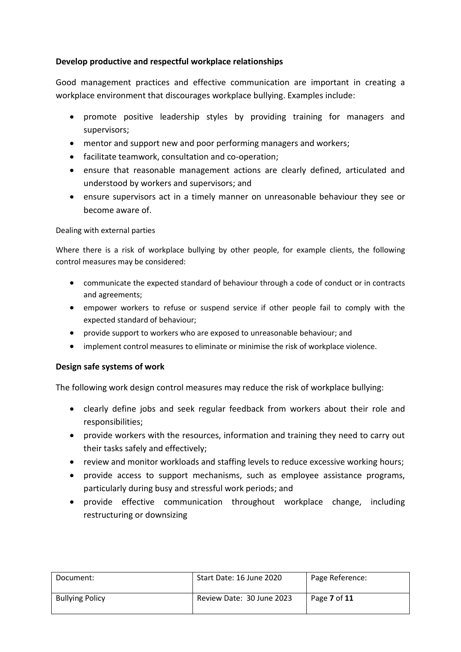## **Develop productive and respectful workplace relationships**

Good management practices and effective communication are important in creating a workplace environment that discourages workplace bullying. Examples include:

- promote positive leadership styles by providing training for managers and supervisors;
- mentor and support new and poor performing managers and workers;
- facilitate teamwork, consultation and co-operation;
- ensure that reasonable management actions are clearly defined, articulated and understood by workers and supervisors; and
- ensure supervisors act in a timely manner on unreasonable behaviour they see or become aware of.

#### Dealing with external parties

Where there is a risk of workplace bullying by other people, for example clients, the following control measures may be considered:

- communicate the expected standard of behaviour through a code of conduct or in contracts and agreements;
- empower workers to refuse or suspend service if other people fail to comply with the expected standard of behaviour;
- provide support to workers who are exposed to unreasonable behaviour; and
- implement control measures to eliminate or minimise the risk of workplace violence.

#### **Design safe systems of work**

The following work design control measures may reduce the risk of workplace bullying:

- clearly define jobs and seek regular feedback from workers about their role and responsibilities;
- provide workers with the resources, information and training they need to carry out their tasks safely and effectively;
- review and monitor workloads and staffing levels to reduce excessive working hours;
- provide access to support mechanisms, such as employee assistance programs, particularly during busy and stressful work periods; and
- provide effective communication throughout workplace change, including restructuring or downsizing

| Document:              | Start Date: 16 June 2020  | Page Reference: |
|------------------------|---------------------------|-----------------|
| <b>Bullying Policy</b> | Review Date: 30 June 2023 | Page 7 of 11    |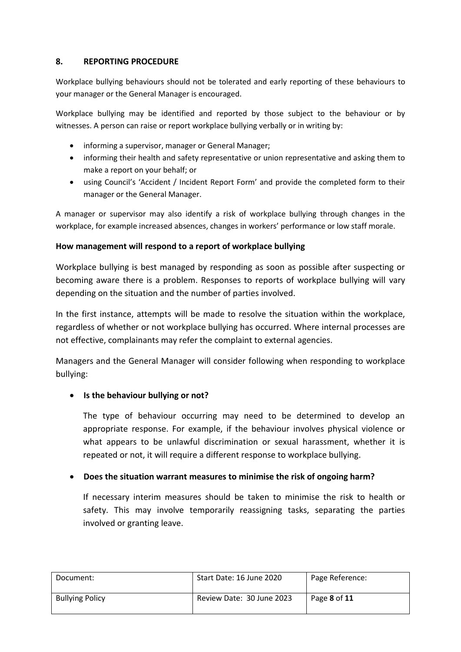#### **8. REPORTING PROCEDURE**

Workplace bullying behaviours should not be tolerated and early reporting of these behaviours to your manager or the General Manager is encouraged.

Workplace bullying may be identified and reported by those subject to the behaviour or by witnesses. A person can raise or report workplace bullying verbally or in writing by:

- informing a supervisor, manager or General Manager;
- informing their health and safety representative or union representative and asking them to make a report on your behalf; or
- using Council's 'Accident / Incident Report Form' and provide the completed form to their manager or the General Manager.

A manager or supervisor may also identify a risk of workplace bullying through changes in the workplace, for example increased absences, changes in workers' performance or low staff morale.

#### **How management will respond to a report of workplace bullying**

Workplace bullying is best managed by responding as soon as possible after suspecting or becoming aware there is a problem. Responses to reports of workplace bullying will vary depending on the situation and the number of parties involved.

In the first instance, attempts will be made to resolve the situation within the workplace, regardless of whether or not workplace bullying has occurred. Where internal processes are not effective, complainants may refer the complaint to external agencies.

Managers and the General Manager will consider following when responding to workplace bullying:

## **Is the behaviour bullying or not?**

The type of behaviour occurring may need to be determined to develop an appropriate response. For example, if the behaviour involves physical violence or what appears to be unlawful discrimination or sexual harassment, whether it is repeated or not, it will require a different response to workplace bullying.

## **Does the situation warrant measures to minimise the risk of ongoing harm?**

If necessary interim measures should be taken to minimise the risk to health or safety. This may involve temporarily reassigning tasks, separating the parties involved or granting leave.

| Document:              | Start Date: 16 June 2020  | Page Reference: |
|------------------------|---------------------------|-----------------|
| <b>Bullying Policy</b> | Review Date: 30 June 2023 | Page 8 of 11    |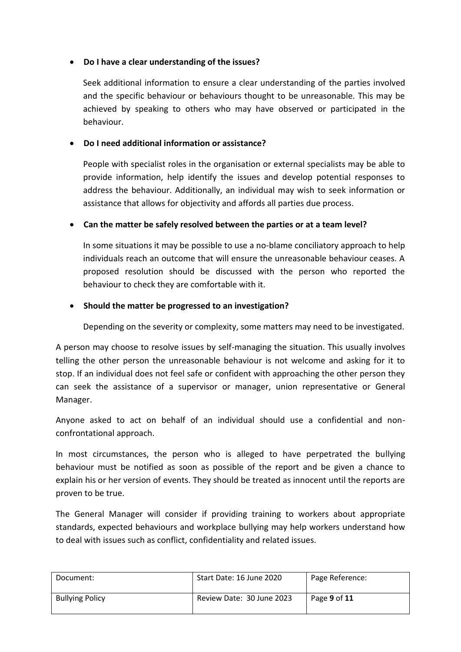## **Do I have a clear understanding of the issues?**

Seek additional information to ensure a clear understanding of the parties involved and the specific behaviour or behaviours thought to be unreasonable. This may be achieved by speaking to others who may have observed or participated in the behaviour.

## **Do I need additional information or assistance?**

People with specialist roles in the organisation or external specialists may be able to provide information, help identify the issues and develop potential responses to address the behaviour. Additionally, an individual may wish to seek information or assistance that allows for objectivity and affords all parties due process.

## **Can the matter be safely resolved between the parties or at a team level?**

In some situations it may be possible to use a no-blame conciliatory approach to help individuals reach an outcome that will ensure the unreasonable behaviour ceases. A proposed resolution should be discussed with the person who reported the behaviour to check they are comfortable with it.

## **Should the matter be progressed to an investigation?**

Depending on the severity or complexity, some matters may need to be investigated.

A person may choose to resolve issues by self-managing the situation. This usually involves telling the other person the unreasonable behaviour is not welcome and asking for it to stop. If an individual does not feel safe or confident with approaching the other person they can seek the assistance of a supervisor or manager, union representative or General Manager.

Anyone asked to act on behalf of an individual should use a confidential and nonconfrontational approach.

In most circumstances, the person who is alleged to have perpetrated the bullying behaviour must be notified as soon as possible of the report and be given a chance to explain his or her version of events. They should be treated as innocent until the reports are proven to be true.

The General Manager will consider if providing training to workers about appropriate standards, expected behaviours and workplace bullying may help workers understand how to deal with issues such as conflict, confidentiality and related issues.

| Document:              | Start Date: 16 June 2020  | Page Reference: |
|------------------------|---------------------------|-----------------|
| <b>Bullying Policy</b> | Review Date: 30 June 2023 | Page 9 of 11    |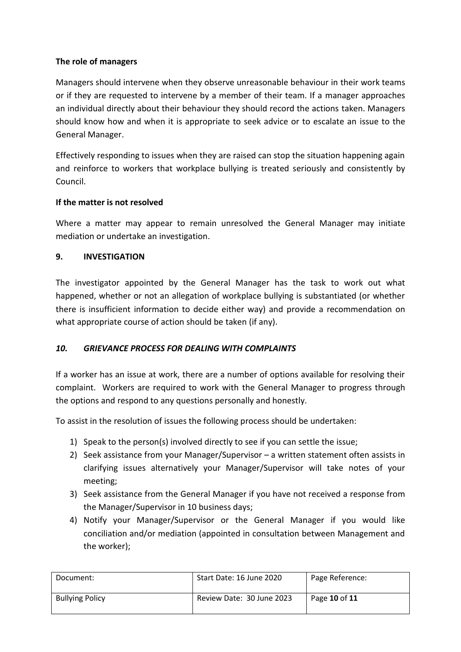## **The role of managers**

Managers should intervene when they observe unreasonable behaviour in their work teams or if they are requested to intervene by a member of their team. If a manager approaches an individual directly about their behaviour they should record the actions taken. Managers should know how and when it is appropriate to seek advice or to escalate an issue to the General Manager.

Effectively responding to issues when they are raised can stop the situation happening again and reinforce to workers that workplace bullying is treated seriously and consistently by Council.

## **If the matter is not resolved**

Where a matter may appear to remain unresolved the General Manager may initiate mediation or undertake an investigation.

## **9. INVESTIGATION**

The investigator appointed by the General Manager has the task to work out what happened, whether or not an allegation of workplace bullying is substantiated (or whether there is insufficient information to decide either way) and provide a recommendation on what appropriate course of action should be taken (if any).

## *10. GRIEVANCE PROCESS FOR DEALING WITH COMPLAINTS*

If a worker has an issue at work, there are a number of options available for resolving their complaint. Workers are required to work with the General Manager to progress through the options and respond to any questions personally and honestly.

To assist in the resolution of issues the following process should be undertaken:

- 1) Speak to the person(s) involved directly to see if you can settle the issue;
- 2) Seek assistance from your Manager/Supervisor a written statement often assists in clarifying issues alternatively your Manager/Supervisor will take notes of your meeting;
- 3) Seek assistance from the General Manager if you have not received a response from the Manager/Supervisor in 10 business days;
- 4) Notify your Manager/Supervisor or the General Manager if you would like conciliation and/or mediation (appointed in consultation between Management and the worker);

| Document:              | Start Date: 16 June 2020  | Page Reference: |
|------------------------|---------------------------|-----------------|
| <b>Bullying Policy</b> | Review Date: 30 June 2023 | Page 10 of 11   |